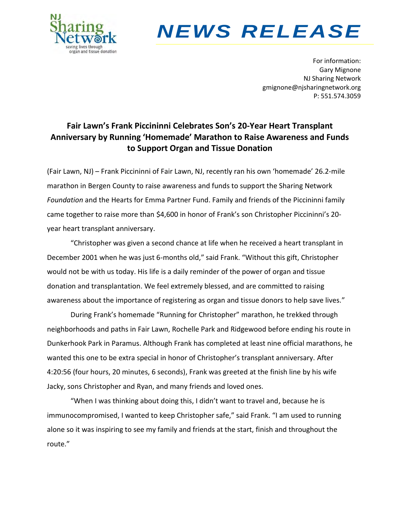

# *NEWS RELEASE*

For information: Gary Mignone NJ Sharing Network gmignone@njsharingnetwork.org P: 551.574.3059

## **Fair Lawn's Frank Piccininni Celebrates Son's 20-Year Heart Transplant Anniversary by Running 'Homemade' Marathon to Raise Awareness and Funds to Support Organ and Tissue Donation**

(Fair Lawn, NJ) – Frank Piccininni of Fair Lawn, NJ, recently ran his own 'homemade' 26.2-mile marathon in Bergen County to raise awareness and funds to support the Sharing Network *Foundation* and the Hearts for Emma Partner Fund. Family and friends of the Piccininni family came together to raise more than \$4,600 in honor of Frank's son Christopher Piccininni's 20 year heart transplant anniversary.

"Christopher was given a second chance at life when he received a heart transplant in December 2001 when he was just 6-months old," said Frank. "Without this gift, Christopher would not be with us today. His life is a daily reminder of the power of organ and tissue donation and transplantation. We feel extremely blessed, and are committed to raising awareness about the importance of registering as organ and tissue donors to help save lives."

During Frank's homemade "Running for Christopher" marathon, he trekked through neighborhoods and paths in Fair Lawn, Rochelle Park and Ridgewood before ending his route in Dunkerhook Park in Paramus. Although Frank has completed at least nine official marathons, he wanted this one to be extra special in honor of Christopher's transplant anniversary. After 4:20:56 (four hours, 20 minutes, 6 seconds), Frank was greeted at the finish line by his wife Jacky, sons Christopher and Ryan, and many friends and loved ones.

"When I was thinking about doing this, I didn't want to travel and, because he is immunocompromised, I wanted to keep Christopher safe," said Frank. "I am used to running alone so it was inspiring to see my family and friends at the start, finish and throughout the route."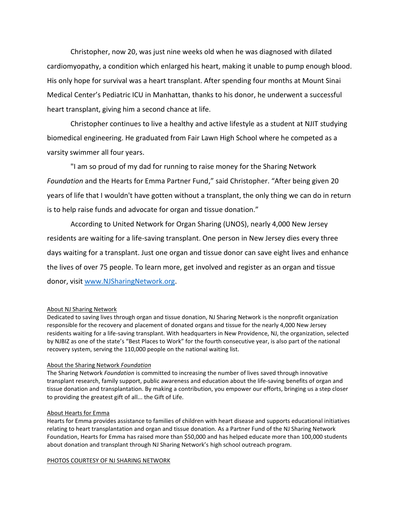Christopher, now 20, was just nine weeks old when he was diagnosed with dilated cardiomyopathy, a condition which enlarged his heart, making it unable to pump enough blood. His only hope for survival was a heart transplant. After spending four months at Mount Sinai Medical Center's Pediatric ICU in Manhattan, thanks to his donor, he underwent a successful heart transplant, giving him a second chance at life.

Christopher continues to live a healthy and active lifestyle as a student at NJIT studying biomedical engineering. He graduated from Fair Lawn High School where he competed as a varsity swimmer all four years.

"I am so proud of my dad for running to raise money for the Sharing Network *Foundation* and the Hearts for Emma Partner Fund," said Christopher. "After being given 20 years of life that I wouldn't have gotten without a transplant, the only thing we can do in return is to help raise funds and advocate for organ and tissue donation."

According to United Network for Organ Sharing (UNOS), nearly 4,000 New Jersey residents are waiting for a life-saving transplant. One person in New Jersey dies every three days waiting for a transplant. Just one organ and tissue donor can save eight lives and enhance the lives of over 75 people. To learn more, get involved and register as an organ and tissue donor, visit [www.NJSharingNetwork.org.](http://www.njsharingnetwork.org/)

### About NJ Sharing Network

Dedicated to saving lives through organ and tissue donation, NJ Sharing Network is the nonprofit organization responsible for the recovery and placement of donated organs and tissue for the nearly 4,000 New Jersey residents waiting for a life-saving transplant. With headquarters in New Providence, NJ, the organization, selected by NJBIZ as one of the state's "Best Places to Work" for the fourth consecutive year, is also part of the national recovery system, serving the 110,000 people on the national waiting list.

#### About the Sharing Network *Foundation*

The Sharing Network *Foundation* is committed to increasing the number of lives saved through innovative transplant research, family support, public awareness and education about the life-saving benefits of organ and tissue donation and transplantation. By making a contribution, you empower our efforts, bringing us a step closer to providing the greatest gift of all... the Gift of Life.

#### About Hearts for Emma

Hearts for Emma provides assistance to families of children with heart disease and supports educational initiatives relating to heart transplantation and organ and tissue donation. As a Partner Fund of the NJ Sharing Network Foundation, Hearts for Emma has raised more than \$50,000 and has helped educate more than 100,000 students about donation and transplant through NJ Sharing Network's high school outreach program.

#### PHOTOS COURTESY OF NJ SHARING NETWORK